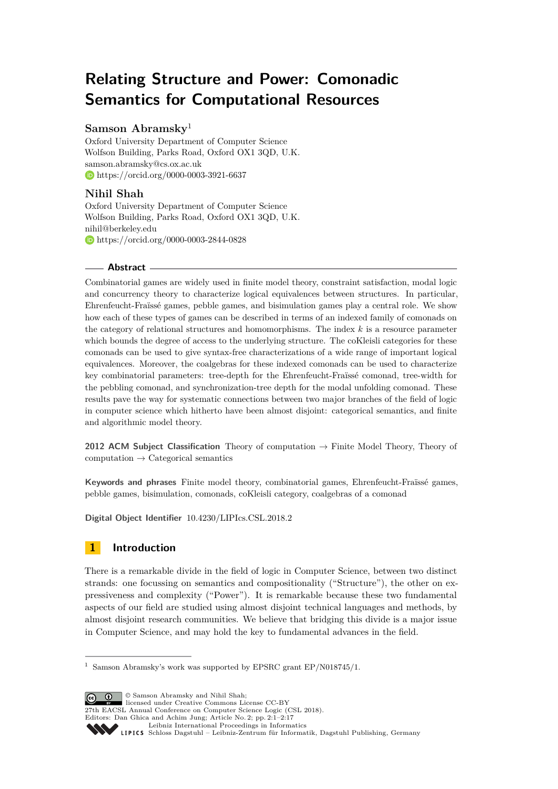# **Relating Structure and Power: Comonadic Semantics for Computational Resources**

# **Samson Abramsky**<sup>1</sup>

Oxford University Department of Computer Science Wolfson Building, Parks Road, Oxford OX1 3QD, U.K. [samson.abramsky@cs.ox.ac.uk](mailto:samson.abramsky@cs.ox.ac.uk) <https://orcid.org/0000-0003-3921-6637>

# **Nihil Shah**

Oxford University Department of Computer Science Wolfson Building, Parks Road, Oxford OX1 3QD, U.K. [nihil@berkeley.edu](mailto:nihil@berkeley.edu) <https://orcid.org/0000-0003-2844-0828>

#### **Abstract**

Combinatorial games are widely used in finite model theory, constraint satisfaction, modal logic and concurrency theory to characterize logical equivalences between structures. In particular, Ehrenfeucht-Fraïssé games, pebble games, and bisimulation games play a central role. We show how each of these types of games can be described in terms of an indexed family of comonads on the category of relational structures and homomorphisms. The index *k* is a resource parameter which bounds the degree of access to the underlying structure. The coKleisli categories for these comonads can be used to give syntax-free characterizations of a wide range of important logical equivalences. Moreover, the coalgebras for these indexed comonads can be used to characterize key combinatorial parameters: tree-depth for the Ehrenfeucht-Fraïssé comonad, tree-width for the pebbling comonad, and synchronization-tree depth for the modal unfolding comonad. These results pave the way for systematic connections between two major branches of the field of logic in computer science which hitherto have been almost disjoint: categorical semantics, and finite and algorithmic model theory.

**2012 ACM Subject Classification** Theory of computation → Finite Model Theory, Theory of  $computation \rightarrow Categorical semantics$ 

**Keywords and phrases** Finite model theory, combinatorial games, Ehrenfeucht-Fraïssé games, pebble games, bisimulation, comonads, coKleisli category, coalgebras of a comonad

**Digital Object Identifier** [10.4230/LIPIcs.CSL.2018.2](http://dx.doi.org/10.4230/LIPIcs.CSL.2018.2)

# **1 Introduction**

There is a remarkable divide in the field of logic in Computer Science, between two distinct strands: one focussing on semantics and compositionality ("Structure"), the other on expressiveness and complexity ("Power"). It is remarkable because these two fundamental aspects of our field are studied using almost disjoint technical languages and methods, by almost disjoint research communities. We believe that bridging this divide is a major issue in Computer Science, and may hold the key to fundamental advances in the field.

© Samson Abramsky and Nihil Shah;  $\boxed{6}$  0 licensed under Creative Commons License CC-BY 27th EACSL Annual Conference on Computer Science Logic (CSL 2018). Editors: Dan Ghica and Achim Jung; Article No. 2; pp. 2:1–2[:17](#page-16-0) [Leibniz International Proceedings in Informatics](http://www.dagstuhl.de/lipics/) Leibniz international Floretungs in missimosische Publishing, Germany<br>LIPICS [Schloss Dagstuhl – Leibniz-Zentrum für Informatik, Dagstuhl Publishing, Germany](http://www.dagstuhl.de)

 $^1$  Samson Abramsky's work was supported by EPSRC grant EP/N018745/1.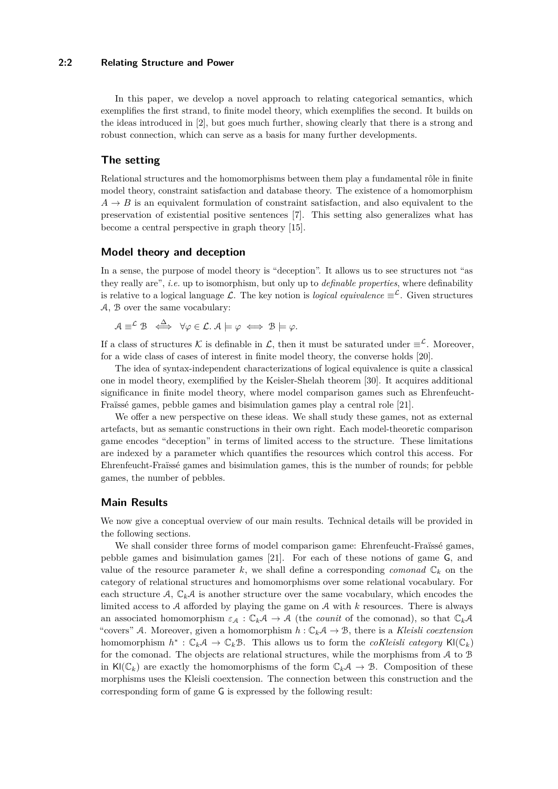#### **2:2 Relating Structure and Power**

In this paper, we develop a novel approach to relating categorical semantics, which exemplifies the first strand, to finite model theory, which exemplifies the second. It builds on the ideas introduced in [\[2\]](#page-14-0), but goes much further, showing clearly that there is a strong and robust connection, which can serve as a basis for many further developments.

## **The setting**

Relational structures and the homomorphisms between them play a fundamental rôle in finite model theory, constraint satisfaction and database theory. The existence of a homomorphism  $A \rightarrow B$  is an equivalent formulation of constraint satisfaction, and also equivalent to the preservation of existential positive sentences [\[7\]](#page-15-0). This setting also generalizes what has become a central perspective in graph theory [\[15\]](#page-15-1).

#### **Model theory and deception**

In a sense, the purpose of model theory is "deception". It allows us to see structures not "as they really are", *i.e.* up to isomorphism, but only up to *definable properties*, where definability is relative to a logical language L. The key notion is *logical equivalence*  $\equiv$ <sup>L</sup>. Given structures A, B over the same vocabulary:

$$
\mathcal{A} \equiv^{\mathcal{L}} \mathcal{B} \iff \forall \varphi \in \mathcal{L}. \ \mathcal{A} \models \varphi \iff \mathcal{B} \models \varphi.
$$

If a class of structures K is definable in L, then it must be saturated under  $\equiv^{\mathcal{L}}$ . Moreover, for a wide class of cases of interest in finite model theory, the converse holds [\[20\]](#page-15-2).

The idea of syntax-independent characterizations of logical equivalence is quite a classical one in model theory, exemplified by the Keisler-Shelah theorem [\[30\]](#page-16-1). It acquires additional significance in finite model theory, where model comparison games such as Ehrenfeucht-Fraïssé games, pebble games and bisimulation games play a central role [\[21\]](#page-15-3).

We offer a new perspective on these ideas. We shall study these games, not as external artefacts, but as semantic constructions in their own right. Each model-theoretic comparison game encodes "deception" in terms of limited access to the structure. These limitations are indexed by a parameter which quantifies the resources which control this access. For Ehrenfeucht-Fraïssé games and bisimulation games, this is the number of rounds; for pebble games, the number of pebbles.

#### **Main Results**

We now give a conceptual overview of our main results. Technical details will be provided in the following sections.

We shall consider three forms of model comparison game: Ehrenfeucht-Fraïssé games, pebble games and bisimulation games [\[21\]](#page-15-3). For each of these notions of game G, and value of the resource parameter  $k$ , we shall define a corresponding *comonad*  $\mathbb{C}_k$  on the category of relational structures and homomorphisms over some relational vocabulary. For each structure  $A, \mathbb{C}_k A$  is another structure over the same vocabulary, which encodes the limited access to A afforded by playing the game on A with *k* resources. There is always an associated homomorphism  $\varepsilon_A : \mathbb{C}_k A \to A$  (the *counit* of the comonad), so that  $\mathbb{C}_k A$ "covers" A. Moreover, given a homomorphism  $h : \mathbb{C}_k A \to \mathcal{B}$ , there is a *Kleisli coextension* homomorphism  $h^*: \mathbb{C}_k \mathcal{A} \to \mathbb{C}_k \mathcal{B}$ . This allows us to form the *coKleisli category* Kl( $\mathbb{C}_k$ ) for the comonad. The objects are relational structures, while the morphisms from A to B in Kl( $\mathbb{C}_k$ ) are exactly the homomorphisms of the form  $\mathbb{C}_k A \to \mathcal{B}$ . Composition of these morphisms uses the Kleisli coextension. The connection between this construction and the corresponding form of game G is expressed by the following result: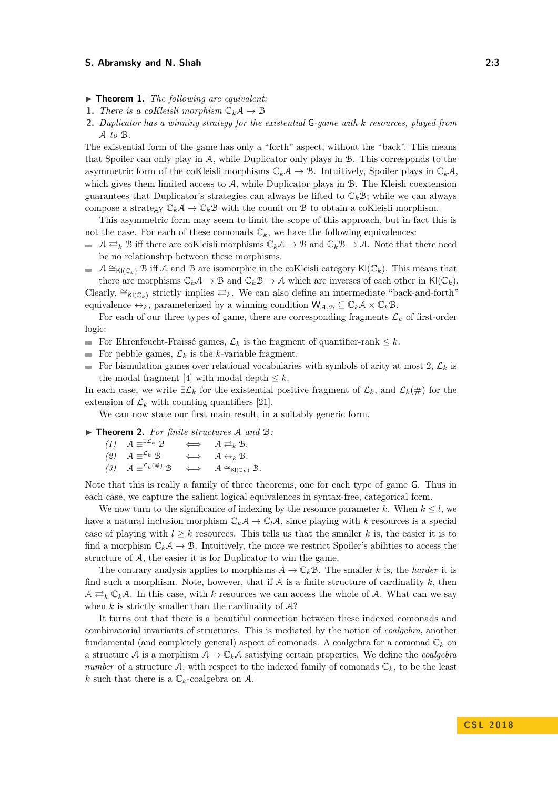- ▶ **Theorem 1.** *The following are equivalent:*
- **1.** *There is a coKleisli morphism*  $\mathbb{C}_{k}A \rightarrow \mathbb{B}$
- **2.** *Duplicator has a winning strategy for the existential* G*-game with k resources, played from* A *to* B*.*

The existential form of the game has only a "forth" aspect, without the "back". This means that Spoiler can only play in A, while Duplicator only plays in B. This corresponds to the asymmetric form of the coKleisli morphisms  $\mathbb{C}_k \mathcal{A} \to \mathcal{B}$ . Intuitively, Spoiler plays in  $\mathbb{C}_k \mathcal{A}$ , which gives them limited access to  $A$ , while Duplicator plays in  $B$ . The Kleisli coextension guarantees that Duplicator's strategies can always be lifted to  $\mathbb{C}_k \mathcal{B}$ ; while we can always compose a strategy  $\mathbb{C}_k A \to \mathbb{C}_k B$  with the counit on B to obtain a coKleisli morphism.

This asymmetric form may seem to limit the scope of this approach, but in fact this is not the case. For each of these comonads  $\mathbb{C}_k$ , we have the following equivalences:

- $\mathcal{A} \rightleftarrows_k \mathcal{B}$  iff there are coKleisli morphisms  $\mathbb{C}_k \mathcal{A} \to \mathcal{B}$  and  $\mathbb{C}_k \mathcal{B} \to \mathcal{A}$ . Note that there need be no relationship between these morphisms.
- <sup>A</sup> <sup>∼</sup>=Kl(C*k*) <sup>B</sup> iff <sup>A</sup> and <sup>B</sup> are isomorphic in the coKleisli category Kl(C*k*). This means that there are morphisms  $\mathbb{C}_k \mathcal{A} \to \mathcal{B}$  and  $\mathbb{C}_k \mathcal{B} \to \mathcal{A}$  which are inverses of each other in  $\mathsf{Kl}(\mathbb{C}_k)$ .

Clearly,  $\cong_{\mathsf{Kl}(\mathbb{C}_k)}$  strictly implies  $\rightleftarrows_k$ . We can also define an intermediate "back-and-forth" equivalence  $\leftrightarrow_k$ , parameterized by a winning condition  $W_{A,B} \subseteq \mathbb{C}_k A \times \mathbb{C}_k B$ .

For each of our three types of game, there are corresponding fragments  $\mathcal{L}_k$  of first-order logic:

- For Ehrenfeucht-Fraïssé games,  $\mathcal{L}_k$  is the fragment of quantifier-rank  $\leq k$ .  $\blacksquare$
- For pebble games,  $\mathcal{L}_k$  is the *k*-variable fragment.  $\overline{\phantom{a}}$
- For bismulation games over relational vocabularies with symbols of arity at most 2,  $\mathcal{L}_k$  is  $\sim$ the modal fragment [\[4\]](#page-14-1) with modal depth  $\leq k$ .

In each case, we write  $\exists \mathcal{L}_k$  for the existential positive fragment of  $\mathcal{L}_k$ , and  $\mathcal{L}_k(\#)$  for the extension of  $\mathcal{L}_k$  with counting quantifiers [\[21\]](#page-15-3).

We can now state our first main result, in a suitably generic form.

▶ **Theorem 2.** For finite structures A and B:

| $(1)$ $A \equiv^{\exists \mathcal{L}_k} \mathcal{B}$                                                 | $\iff$ $A \rightleftarrows B$ .  |
|------------------------------------------------------------------------------------------------------|----------------------------------|
| (2) $A \equiv^{\mathcal{L}_k} B$                                                                     | $\iff$ $A \leftrightarrow_k B$ . |
| (3) $A \equiv^{\mathcal{L}_k(\#)} \mathcal{B} \iff A \cong_{\mathsf{KI}(\mathbb{C}_k)} \mathcal{B}.$ |                                  |

Note that this is really a family of three theorems, one for each type of game G. Thus in each case, we capture the salient logical equivalences in syntax-free, categorical form.

We now turn to the significance of indexing by the resource parameter k. When  $k \leq l$ , we have a natural inclusion morphism  $\mathbb{C}_k A \to \mathbb{C}_l A$ , since playing with k resources is a special case of playing with  $l \geq k$  resources. This tells us that the smaller k is, the easier it is to find a morphism  $\mathbb{C}_k \mathcal{A} \to \mathcal{B}$ . Intuitively, the more we restrict Spoiler's abilities to access the structure of A, the easier it is for Duplicator to win the game.

The contrary analysis applies to morphisms  $A \to \mathbb{C}_k \mathcal{B}$ . The smaller k is, the *harder* it is find such a morphism. Note, however, that if  $A$  is a finite structure of cardinality  $k$ , then  $A \rightleftarrows_k \mathbb{C}_k \mathcal{A}$ . In this case, with *k* resources we can access the whole of A. What can we say when  $k$  is strictly smaller than the cardinality of  $A$ ?

It turns out that there is a beautiful connection between these indexed comonads and combinatorial invariants of structures. This is mediated by the notion of *coalgebra*, another fundamental (and completely general) aspect of comonads. A coalgebra for a comonad  $\mathbb{C}_k$  on a structure A is a morphism  $A \to \mathbb{C}_k A$  satisfying certain properties. We define the *coalgebra number* of a structure A, with respect to the indexed family of comonads  $\mathbb{C}_k$ , to be the least *k* such that there is a  $\mathbb{C}_k$ -coalgebra on A.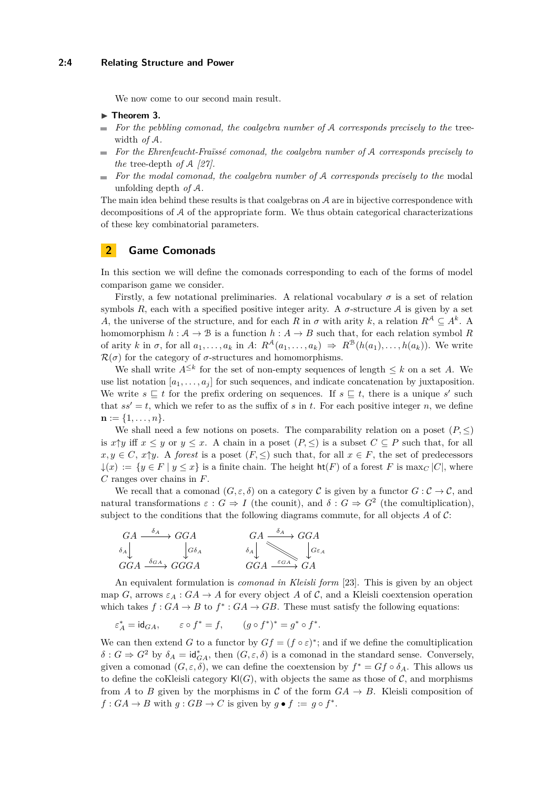We now come to our second main result.

- ▶ Theorem 3.
- *For the pebbling comonad, the coalgebra number of* A *corresponds precisely to the* tree- $\overline{a}$ width *of* A*.*
- *For the Ehrenfeucht-Fraïssé comonad, the coalgebra number of* A *corresponds precisely to*  $\blacksquare$ *the* tree-depth *of* A *[\[27\]](#page-15-4).*
- *For the modal comonad, the coalgebra number of* A *corresponds precisely to the* modal  $\equiv$ unfolding depth *of* A*.*

The main idea behind these results is that coalgebras on  $A$  are in bijective correspondence with decompositions of A of the appropriate form. We thus obtain categorical characterizations of these key combinatorial parameters.

# **2 Game Comonads**

In this section we will define the comonads corresponding to each of the forms of model comparison game we consider.

Firstly, a few notational preliminaries. A relational vocabulary  $\sigma$  is a set of relation symbols  $R$ , each with a specified positive integer arity. A  $\sigma$ -structure  $A$  is given by a set *A*, the universe of the structure, and for each *R* in  $\sigma$  with arity *k*, a relation  $R^{\mathcal{A}} \subseteq A^{k}$ . A homomorphism  $h : A \to B$  is a function  $h : A \to B$  such that, for each relation symbol R of arity *k* in  $\sigma$ , for all  $a_1, \ldots, a_k$  in *A*:  $R^{\mathcal{A}}(a_1, \ldots, a_k) \Rightarrow R^{\mathcal{B}}(h(a_1), \ldots, h(a_k))$ . We write  $\mathcal{R}(\sigma)$  for the category of  $\sigma$ -structures and homomorphisms.

We shall write  $A^{\leq k}$  for the set of non-empty sequences of length  $\leq k$  on a set *A*. We use list notation  $[a_1, \ldots, a_j]$  for such sequences, and indicate concatenation by juxtaposition. We write  $s \subseteq t$  for the prefix ordering on sequences. If  $s \subseteq t$ , there is a unique s' such that  $ss' = t$ , which we refer to as the suffix of *s* in *t*. For each positive integer *n*, we define  $\mathbf{n} := \{1, \ldots, n\}.$ 

We shall need a few notions on posets. The comparability relation on a poset  $(P, \leq)$ is  $x \uparrow y$  iff  $x \leq y$  or  $y \leq x$ . A chain in a poset  $(P, \leq)$  is a subset  $C \subseteq P$  such that, for all *x, y* ∈ *C*, *x*↑*y*. A *forest* is a poset  $(F, ≤)$  such that, for all  $x ∈ F$ , the set of predecessors  $\downarrow(x) := \{y \in F \mid y \leq x\}$  is a finite chain. The height  $\text{ht}(F)$  of a forest F is max<sub>*C*</sub> |*C*|, where *C* ranges over chains in *F*.

We recall that a comonad  $(G, \varepsilon, \delta)$  on a category C is given by a functor  $G : \mathcal{C} \to \mathcal{C}$ , and natural transformations  $\varepsilon$  :  $G \Rightarrow I$  (the counit), and  $\delta : G \Rightarrow G^2$  (the comultiplication), subject to the conditions that the following diagrams commute, for all objects  $A$  of  $C$ :



An equivalent formulation is *comonad in Kleisli form* [\[23\]](#page-15-5). This is given by an object map *G*, arrows  $\varepsilon_A : G_A \to A$  for every object *A* of *C*, and a Kleisli coextension operation which takes  $f: GA \to B$  to  $f^*: GA \to GB$ . These must satisfy the following equations:

$$
\varepsilon_A^* = \mathrm{id}_{GA}, \qquad \varepsilon \circ f^* = f, \qquad (g \circ f^*)^* = g^* \circ f^*.
$$

We can then extend *G* to a functor by  $Gf = (f \circ \varepsilon)^*$ ; and if we define the comultiplication  $\delta: G \Rightarrow G^2$  by  $\delta_A = id_{GA}^*$ , then  $(G, \varepsilon, \delta)$  is a comonad in the standard sense. Conversely, given a comonad  $(G, \varepsilon, \delta)$ , we can define the coextension by  $f^* = Gf \circ \delta_A$ . This allows us to define the coKleisli category  $\mathsf{Kl}(G)$ , with objects the same as those of C, and morphisms from *A* to *B* given by the morphisms in *C* of the form  $GA \rightarrow B$ . Kleisli composition of  $f: GA \to B$  with  $g: GB \to C$  is given by  $g \bullet f := g \circ f^*$ .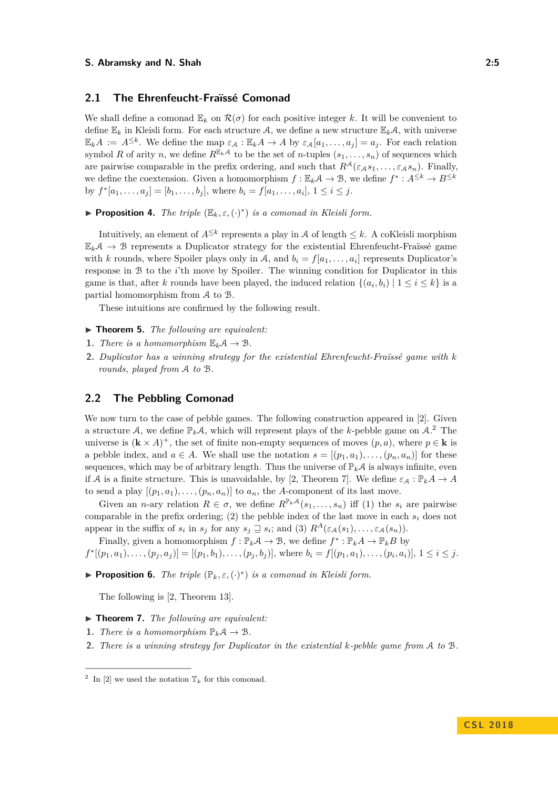## **2.1 The Ehrenfeucht-Fraïssé Comonad**

We shall define a comonad  $\mathbb{E}_k$  on  $\mathcal{R}(\sigma)$  for each positive integer k. It will be convenient to define  $\mathbb{E}_k$  in Kleisli form. For each structure A, we define a new structure  $\mathbb{E}_k A$ , with universe  $\mathbb{E}_k A := A^{\leq k}$ . We define the map  $\varepsilon_A : \mathbb{E}_k A \to A$  by  $\varepsilon_A[a_1, \ldots, a_j] = a_j$ . For each relation symbol *R* of arity *n*, we define  $R^{\mathbb{E}_k A}$  to be the set of *n*-tuples  $(s_1, \ldots, s_n)$  of sequences which are pairwise comparable in the prefix ordering, and such that  $R^{\mathcal{A}}(\varepsilon_{\mathcal{A}}s_1,\ldots,\varepsilon_{\mathcal{A}}s_n)$ . Finally, we define the coextension. Given a homomorphism  $f : \mathbb{E}_k \mathcal{A} \to \mathcal{B}$ , we define  $f^* : A^{\leq k} \to B^{\leq k}$ by  $f^*[a_1, \ldots, a_j] = [b_1, \ldots, b_j]$ , where  $b_i = f[a_1, \ldots, a_i]$ ,  $1 \le i \le j$ .

**Proposition 4.** *The triple*  $(\mathbb{E}_k, \varepsilon, (\cdot)^*)$  *is a comonad in Kleisli form.* 

Intuitively, an element of  $A^{\leq k}$  represents a play in A of length  $\leq k$ . A coKleisli morphism  $\mathbb{E}_k \mathcal{A} \to \mathcal{B}$  represents a Duplicator strategy for the existential Ehrenfeucht-Fraïssé game with *k* rounds, where Spoiler plays only in A, and  $b_i = f[a_1, \ldots, a_i]$  represents Duplicator's response in B to the *i*'th move by Spoiler. The winning condition for Duplicator in this game is that, after *k* rounds have been played, the induced relation  $\{(a_i, b_i) | 1 \le i \le k\}$  is a partial homomorphism from A to B.

These intuitions are confirmed by the following result.

- <span id="page-4-1"></span>▶ **Theorem 5.** *The following are equivalent:*
- **1.** *There is a homomorphism*  $\mathbb{E}_k \mathcal{A} \to \mathcal{B}$ *.*
- **2.** *Duplicator has a winning strategy for the existential Ehrenfeucht-Fraïssé game with k rounds, played from* A *to* B*.*

# **2.2 The Pebbling Comonad**

We now turn to the case of pebble games. The following construction appeared in [\[2\]](#page-14-0). Given a structure A, we define  $\mathbb{P}_k \mathcal{A}$ , which will represent plays of the *k*-pebble game on  $\mathcal{A}$ . The universe is  $(\mathbf{k} \times A)^+$ , the set of finite non-empty sequences of moves  $(p, a)$ , where  $p \in \mathbf{k}$  is a pebble index, and  $a \in A$ . We shall use the notation  $s = [(p_1, a_1), \ldots, (p_n, a_n)]$  for these sequences, which may be of arbitrary length. Thus the universe of  $\mathbb{P}_k\mathcal{A}$  is always infinite, even if A is a finite structure. This is unavoidable, by [\[2,](#page-14-0) Theorem 7]. We define  $\varepsilon_A : \mathbb{P}_k A \to A$ to send a play  $[(p_1, a_1), \ldots, (p_n, a_n)]$  to  $a_n$ , the *A*-component of its last move.

Given an *n*-ary relation  $R \in \sigma$ , we define  $R^{\mathbb{P}_k A}(s_1, \ldots, s_n)$  iff (1) the  $s_i$  are pairwise comparable in the prefix ordering;  $(2)$  the pebble index of the last move in each  $s_i$  does not appear in the suffix of  $s_i$  in  $s_j$  for any  $s_j \supseteq s_i$ ; and (3)  $R^A(\varepsilon_A(s_1), \ldots, \varepsilon_A(s_n))$ .

Finally, given a homomorphism  $f: \mathbb{P}_k \mathcal{A} \to \mathcal{B}$ , we define  $f^* : \mathbb{P}_k A \to \mathbb{P}_k B$  by  $f^*[(p_1, a_1), \ldots, (p_j, a_j)] = [(p_1, b_1), \ldots, (p_j, b_j)],$  where  $b_i = f[(p_1, a_1), \ldots, (p_i, a_i)], 1 \leq i \leq j.$ 

**Proposition 6.** *The triple*  $(\mathbb{P}_k, \varepsilon, (\cdot)^*)$  *is a comonad in Kleisli form.* 

The following is [\[2,](#page-14-0) Theorem 13].

- ▶ **Theorem 7.** *The following are equivalent:*
- **1.** *There is a homomorphism*  $\mathbb{P}_k \mathcal{A} \to \mathcal{B}$ *.*
- **2.** *There is a winning strategy for Duplicator in the existential k-pebble game from* A *to* B*.*

<span id="page-4-0"></span><sup>&</sup>lt;sup>2</sup> In [\[2\]](#page-14-0) we used the notation  $\mathbb{T}_k$  for this comonad.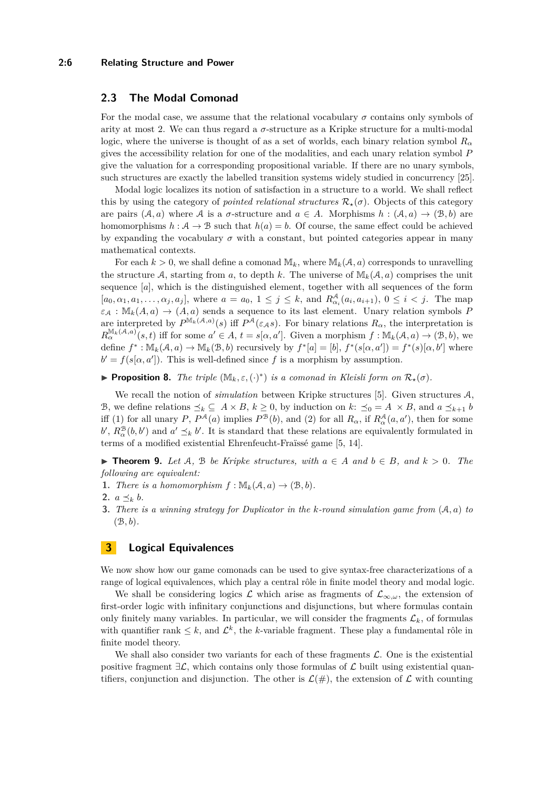#### **2:6 Relating Structure and Power**

## **2.3 The Modal Comonad**

For the modal case, we assume that the relational vocabulary  $\sigma$  contains only symbols of arity at most 2. We can thus regard a  $\sigma$ -structure as a Kripke structure for a multi-modal logic, where the universe is thought of as a set of worlds, each binary relation symbol *R<sup>α</sup>* gives the accessibility relation for one of the modalities, and each unary relation symbol *P* give the valuation for a corresponding propositional variable. If there are no unary symbols, such structures are exactly the labelled transition systems widely studied in concurrency [\[25\]](#page-15-6).

Modal logic localizes its notion of satisfaction in a structure to a world. We shall reflect this by using the category of *pointed relational structures*  $\mathcal{R}_+(\sigma)$ . Objects of this category are pairs  $(A, a)$  where A is a  $\sigma$ -structure and  $a \in A$ . Morphisms  $h : (A, a) \to (B, b)$  are homomorphisms  $h : A \to B$  such that  $h(a) = b$ . Of course, the same effect could be achieved by expanding the vocabulary  $\sigma$  with a constant, but pointed categories appear in many mathematical contexts.

For each  $k > 0$ , we shall define a comonad  $\mathbb{M}_k$ , where  $\mathbb{M}_k(\mathcal{A}, a)$  corresponds to unravelling the structure A, starting from a, to depth k. The universe of  $\mathbb{M}_{k}(\mathcal{A}, a)$  comprises the unit sequence [*a*], which is the distinguished element, together with all sequences of the form  $[a_0, \alpha_1, a_1, \ldots, \alpha_j, a_j],$  where  $a = a_0, 1 \le j \le k$ , and  $R_{\alpha_i}^{\mathcal{A}}(a_i, a_{i+1}), 0 \le i < j$ . The map  $\varepsilon_A : \mathbb{M}_k(A, a) \to (A, a)$  sends a sequence to its last element. Unary relation symbols *P* are interpreted by  $P^{\mathbb{M}_k(\mathcal{A},a)}(s)$  iff  $P^{\mathcal{A}}(\varepsilon_{\mathcal{A}}s)$ . For binary relations  $R_\alpha$ , the interpretation is  $R_{\alpha}^{\mathbb{M}_{k}(\mathcal{A},a)}(s,t)$  iff for some  $a' \in A, t = s[\alpha,a']$ . Given a morphism  $f : \mathbb{M}_{k}(\mathcal{A},a) \to (\mathcal{B},b)$ , we define  $f^*: \mathbb{M}_k(\mathcal{A}, a) \to \mathbb{M}_k(\mathcal{B}, b)$  recursively by  $f^*[a] = [b]$ ,  $f^*(s[\alpha, a']) = f^*(s)[\alpha, b']$  where  $b' = f(s[\alpha, \alpha'])$ . This is well-defined since f is a morphism by assumption.

**Proposition 8.** *The triple*  $(\mathbb{M}_k, \varepsilon, (\cdot)^*)$  *is a comonad in Kleisli form on*  $\mathcal{R}_\star(\sigma)$ *.* 

We recall the notion of *simulation* between Kripke structures [\[5\]](#page-15-7). Given structures A, B, we define relations  $\leq_k \subseteq A \times B$ ,  $k \geq 0$ , by induction on  $k: \leq_0 = A \times B$ , and  $a \leq_{k+1} b$ iff (1) for all unary *P*,  $P^{\mathcal{A}}(a)$  implies  $P^{\mathcal{B}}(b)$ , and (2) for all  $R_{\alpha}$ , if  $R^{\mathcal{A}}_{\alpha}(a, a')$ , then for some  $b'$ ,  $R^{\mathcal{B}}_{\alpha}(b, b')$  and  $a' \preceq_k b'$ . It is standard that these relations are equivalently formulated in terms of a modified existential Ehrenfeucht-Fraïssé game [\[5,](#page-15-7) [14\]](#page-15-8).

<span id="page-5-0"></span>▶ **Theorem 9.** Let A, B be Kripke structures, with  $a \in A$  and  $b \in B$ , and  $k > 0$ . The *following are equivalent:*

- **1.** *There is a homomorphism*  $f : \mathbb{M}_k(\mathcal{A}, a) \to (\mathcal{B}, b)$ *.*
- 2.  $a \prec_k b$ .
- **3.** *There is a winning strategy for Duplicator in the k-round simulation game from* (A*, a*) *to* (B*, b*)*.*

# **3 Logical Equivalences**

We now show how our game comonads can be used to give syntax-free characterizations of a range of logical equivalences, which play a central rôle in finite model theory and modal logic.

We shall be considering logics  $\mathcal L$  which arise as fragments of  $\mathcal L_{\infty,\omega}$ , the extension of first-order logic with infinitary conjunctions and disjunctions, but where formulas contain only finitely many variables. In particular, we will consider the fragments  $\mathcal{L}_k$ , of formulas with quantifier rank  $\leq k$ , and  $\mathcal{L}^k$ , the *k*-variable fragment. These play a fundamental rôle in finite model theory.

We shall also consider two variants for each of these fragments  $\mathcal{L}$ . One is the existential positive fragment  $\exists \mathcal{L}$ , which contains only those formulas of  $\mathcal{L}$  built using existential quantifiers, conjunction and disjunction. The other is  $\mathcal{L}(\#)$ , the extension of  $\mathcal{L}$  with counting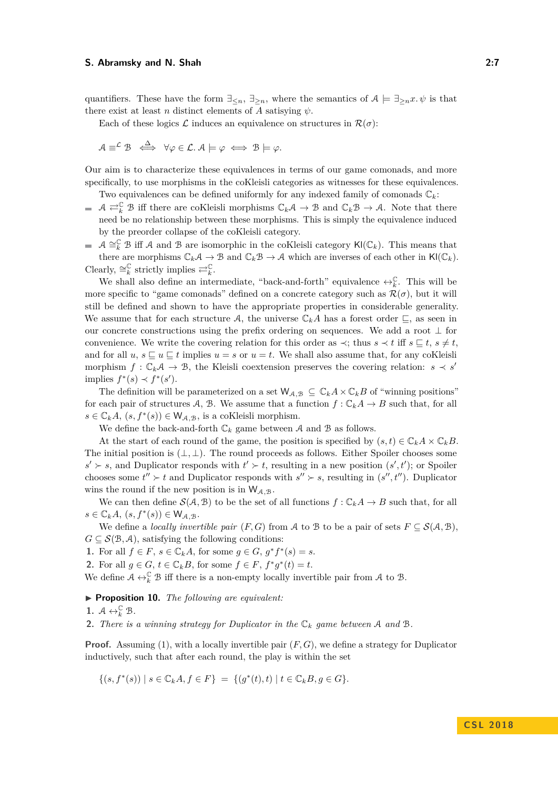quantifiers. These have the form  $\exists \leq n, \exists >n$ , where the semantics of  $A \models \exists >n \infty, \psi$  is that there exist at least *n* distinct elements of *A* satisying  $\psi$ .

Each of these logics  $\mathcal L$  induces an equivalence on structures in  $\mathcal R(\sigma)$ :

$$
\mathcal{A} \equiv^{\mathcal{L}} \mathcal{B} \iff \forall \varphi \in \mathcal{L}.\ \mathcal{A} \models \varphi \iff \mathcal{B} \models \varphi.
$$

Our aim is to characterize these equivalences in terms of our game comonads, and more specifically, to use morphisms in the coKleisli categories as witnesses for these equivalences. Two equivalences can be defined uniformly for any indexed family of comonads  $\mathbb{C}_k$ :

- $A \rightleftarrows_{k}^{\mathbb{C}} B$  iff there are coKleisli morphisms  $\mathbb{C}_{k}A \rightarrow \mathbb{B}$  and  $\mathbb{C}_{k}B \rightarrow A$ . Note that there need be no relationship between these morphisms. This is simply the equivalence induced by the preorder collapse of the coKleisli category.
- A ∼= C *<sup>k</sup>* B iff A and B are isomorphic in the coKleisli category Kl(C*k*). This means that there are morphisms  $\mathbb{C}_k \mathcal{A} \to \mathcal{B}$  and  $\mathbb{C}_k \mathcal{B} \to \mathcal{A}$  which are inverses of each other in  $\mathsf{Kl}(\mathbb{C}_k)$ . Clearly,  $\cong_k^{\mathbb{C}}$  strictly implies  $\rightleftarrows_k^{\mathbb{C}}$ .

We shall also define an intermediate, "back-and-forth" equivalence  $\leftrightarrow_k^{\mathbb{C}}$ . This will be more specific to "game comonads" defined on a concrete category such as  $\mathcal{R}(\sigma)$ , but it will still be defined and shown to have the appropriate properties in considerable generality. We assume that for each structure A, the universe  $\mathbb{C}_k A$  has a forest order  $\sqsubseteq$ , as seen in our concrete constructions using the prefix ordering on sequences. We add a root  $\perp$  for convenience. We write the covering relation for this order as  $\prec$ ; thus  $s \prec t$  iff  $s \sqsubseteq t$ ,  $s \neq t$ , and for all  $u, s \sqsubseteq u \sqsubseteq t$  implies  $u = s$  or  $u = t$ . We shall also assume that, for any coKleisli morphism  $f: \mathbb{C}_k \mathcal{A} \to \mathcal{B}$ , the Kleisli coextension preserves the covering relation:  $s \prec s'$ implies  $f^*(s) \prec f^*(s')$ .

The definition will be parameterized on a set  $W_{A,B} \subseteq \mathbb{C}_k A \times \mathbb{C}_k B$  of "winning positions" for each pair of structures A, B. We assume that a function  $f : \mathbb{C}_k A \to B$  such that, for all  $s \in \mathbb{C}_k A$ ,  $(s, f^*(s)) \in \mathsf{W}_{A, \mathcal{B}}$ , is a coKleisli morphism.

We define the back-and-forth  $\mathbb{C}_k$  game between A and B as follows.

At the start of each round of the game, the position is specified by  $(s, t) \in \mathbb{C}_k A \times \mathbb{C}_k B$ . The initial position is  $(\perp, \perp)$ . The round proceeds as follows. Either Spoiler chooses some  $s' \succ s$ , and Duplicator responds with  $t' \succ t$ , resulting in a new position  $(s', t')$ ; or Spoiler chooses some  $t'' > t$  and Duplicator responds with  $s'' > s$ , resulting in  $(s'', t'')$ . Duplicator wins the round if the new position is in  $W_{A,B}$ .

We can then define  $\mathcal{S}(\mathcal{A}, \mathcal{B})$  to be the set of all functions  $f : \mathbb{C}_k A \to B$  such that, for all  $s \in \mathbb{C}_k A, (s, f^*(s)) \in \mathsf{W}_{\mathcal{A}, \mathcal{B}}.$ 

We define a *locally invertible pair*  $(F, G)$  from A to B to be a pair of sets  $F \subseteq \mathcal{S}(\mathcal{A}, \mathcal{B})$ ,  $G \subseteq \mathcal{S}(\mathcal{B}, \mathcal{A})$ , satisfying the following conditions:

**1.** For all  $f \in F$ ,  $s \in \mathbb{C}_k A$ , for some  $g \in G$ ,  $g^* f^*(s) = s$ .

**2.** For all  $g \in G$ ,  $t \in \mathbb{C}_k B$ , for some  $f \in F$ ,  $f^*g^*(t) = t$ .

We define  $A \leftrightarrow_{k}^{\mathbb{C}} B$  iff there is a non-empty locally invertible pair from A to B.

<span id="page-6-0"></span>I **Proposition 10.** *The following are equivalent:*

$$
\mathbf{1.} \enspace \mathcal{A} \leftrightarrow_{k}^{\mathbb{C}} \mathcal{B}.
$$

**2.** *There is a winning strategy for Duplicator in the* C*<sup>k</sup> game between* A *and* B*.*

**Proof.** Assuming (1), with a locally invertible pair  $(F, G)$ , we define a strategy for Duplicator inductively, such that after each round, the play is within the set

$$
\{(s, f^*(s)) \mid s \in \mathbb{C}_k A, f \in F\} = \{(g^*(t), t) \mid t \in \mathbb{C}_k B, g \in G\}.
$$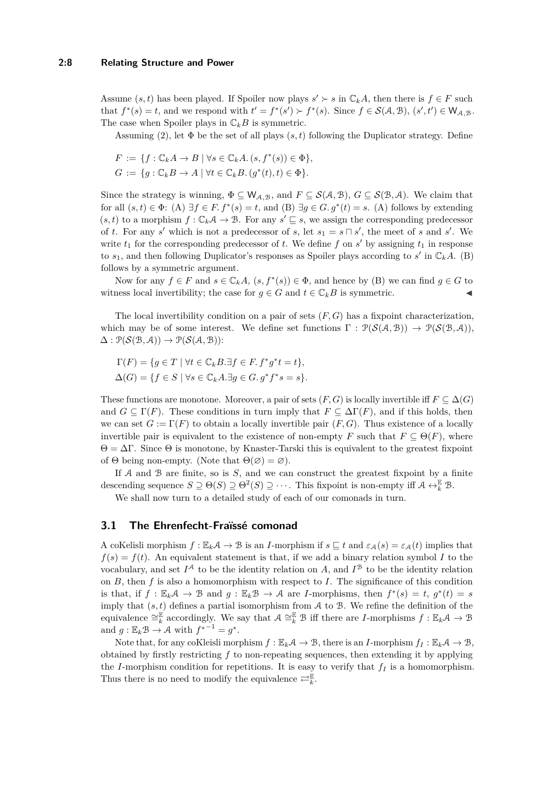Assume  $(s, t)$  has been played. If Spoiler now plays  $s' \succ s$  in  $\mathbb{C}_k A$ , then there is  $f \in F$  such that  $f^*(s) = t$ , and we respond with  $t' = f^*(s') > f^*(s)$ . Since  $f \in \mathcal{S}(\mathcal{A}, \mathcal{B})$ ,  $(s', t') \in W_{\mathcal{A}, \mathcal{B}}$ . The case when Spoiler plays in  $\mathbb{C}_k B$  is symmetric.

Assuming (2), let  $\Phi$  be the set of all plays  $(s, t)$  following the Duplicator strategy. Define

$$
F := \{ f : \mathbb{C}_k A \to B \mid \forall s \in \mathbb{C}_k A. (s, f^*(s)) \in \Phi \},\,
$$
  

$$
G := \{ g : \mathbb{C}_k B \to A \mid \forall t \in \mathbb{C}_k B. (g^*(t), t) \in \Phi \}.
$$

Since the strategy is winning,  $\Phi \subseteq W_{A,B}$ , and  $F \subseteq \mathcal{S}(\mathcal{A}, \mathcal{B}), G \subseteq \mathcal{S}(\mathcal{B}, \mathcal{A})$ . We claim that for all  $(s, t) \in \Phi$ : (A)  $\exists f \in F$ .  $f^*(s) = t$ , and (B)  $\exists g \in G$ .  $g^*(t) = s$ . (A) follows by extending  $(s, t)$  to a morphism  $f: \mathbb{C}_k \mathcal{A} \to \mathcal{B}$ . For any  $s' \sqsubseteq s$ , we assign the corresponding predecessor of t. For any *s*' which is not a predecessor of *s*, let  $s_1 = s \cap s'$ , the meet of *s* and *s'*. We write  $t_1$  for the corresponding predecessor of  $t$ . We define  $f$  on  $s'$  by assigning  $t_1$  in response to  $s_1$ , and then following Duplicator's responses as Spoiler plays according to  $s'$  in  $\mathbb{C}_k A$ . (B) follows by a symmetric argument.

Now for any  $f \in F$  and  $s \in \mathbb{C}_k A$ ,  $(s, f^*(s)) \in \Phi$ , and hence by (B) we can find  $g \in G$  to witness local invertibility; the case for  $g \in G$  and  $t \in \mathbb{C}_k B$  is symmetric.

The local invertibility condition on a pair of sets (*F, G*) has a fixpoint characterization, which may be of some interest. We define set functions  $\Gamma : \mathcal{P}(\mathcal{S}(\mathcal{A}, \mathcal{B})) \to \mathcal{P}(\mathcal{S}(\mathcal{B}, \mathcal{A}))$ ,  $\Delta : \mathcal{P}(\mathcal{S}(\mathcal{B}, \mathcal{A})) \rightarrow \mathcal{P}(\mathcal{S}(\mathcal{A}, \mathcal{B}))$ :

$$
\Gamma(F) = \{ g \in T \mid \forall t \in \mathbb{C}_k B. \exists f \in F. f^* g^* t = t \},\
$$

$$
\Delta(G) = \{ f \in S \mid \forall s \in \mathbb{C}_k A. \exists g \in G. g^* f^* s = s \}.
$$

These functions are monotone. Moreover, a pair of sets  $(F, G)$  is locally invertible iff  $F \subseteq \Delta(G)$ and  $G \subseteq \Gamma(F)$ . These conditions in turn imply that  $F \subseteq \Delta \Gamma(F)$ , and if this holds, then we can set  $G := \Gamma(F)$  to obtain a locally invertible pair  $(F, G)$ . Thus existence of a locally invertible pair is equivalent to the existence of non-empty *F* such that  $F \subseteq \Theta(F)$ , where Θ = ∆Γ. Since Θ is monotone, by Knaster-Tarski this is equivalent to the greatest fixpoint of  $\Theta$  being non-empty. (Note that  $\Theta(\emptyset) = \emptyset$ ).

If A and B are finite, so is *S*, and we can construct the greatest fixpoint by a finite descending sequence  $S \supseteq \Theta(S) \supseteq \Theta^2(S) \supseteq \cdots$ . This fixpoint is non-empty iff  $\mathcal{A} \leftrightarrow_{k}^{\mathbb{E}} \mathcal{B}$ .

We shall now turn to a detailed study of each of our comonads in turn.

## **3.1 The Ehrenfecht-Fraïssé comonad**

A coKelisli morphism  $f : \mathbb{E}_k \mathcal{A} \to \mathcal{B}$  is an *I*-morphism if  $s \sqsubseteq t$  and  $\varepsilon_A(s) = \varepsilon_A(t)$  implies that  $f(s) = f(t)$ . An equivalent statement is that, if we add a binary relation symbol *I* to the vocabulary, and set  $I^{\mathcal{A}}$  to be the identity relation on *A*, and  $I^{\mathcal{B}}$  to be the identity relation on *B*, then *f* is also a homomorphism with respect to *I*. The significance of this condition is that, if  $f: \mathbb{E}_k \mathcal{A} \to \mathcal{B}$  and  $g: \mathbb{E}_k \mathcal{B} \to \mathcal{A}$  are *I*-morphisms, then  $f^*(s) = t$ ,  $g^*(t) = s$ imply that  $(s, t)$  defines a partial isomorphism from  $A$  to  $B$ . We refine the definition of the  $\text{equivalence} \cong_{k}^{\mathbb{E}} \text{accordingly. We say that } \mathcal{A} \cong_{k}^{\mathbb{E}} \mathcal{B} \text{ iff there are } I\text{-morphisms } f: \mathbb{E}_{k} \mathcal{A} \to \mathcal{B}$ and  $g: \mathbb{E}_k \mathcal{B} \to \mathcal{A}$  with  $f^{*-1} = g^*$ .

Note that, for any coKleisli morphism  $f : \mathbb{E}_k \mathcal{A} \to \mathcal{B}$ , there is an *I*-morphism  $f_I : \mathbb{E}_k \mathcal{A} \to \mathcal{B}$ , obtained by firstly restricting *f* to non-repeating sequences, then extending it by applying the *I*-morphism condition for repetitions. It is easy to verify that  $f_I$  is a homomorphism. Thus there is no need to modify the equivalence  $\rightleftarrows_k^{\mathbb{E}}$ .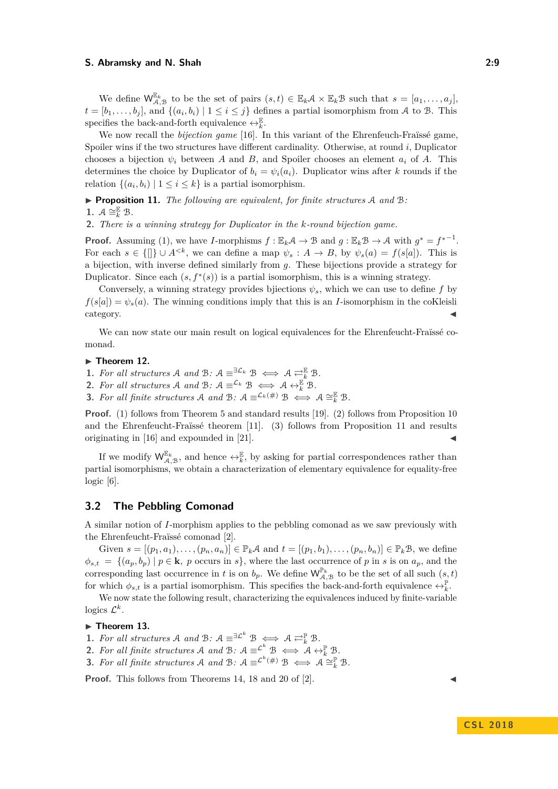We define  $\mathsf{W}_{\mathcal{A},\mathcal{B}}^{\mathbb{E}_k}$  to be the set of pairs  $(s,t) \in \mathbb{E}_k \mathcal{A} \times \mathbb{E}_k \mathcal{B}$  such that  $s = [a_1,\ldots,a_j],$  $t = [b_1, \ldots, b_j]$ , and  $\{(a_i, b_i) \mid 1 \le i \le j\}$  defines a partial isomorphism from A to B. This specifies the back-and-forth equivalence  $\leftrightarrow_k^{\mathbb{E}}$ .

We now recall the *bijection game* [\[16\]](#page-15-9). In this variant of the Ehrenfeuch-Fraïssé game, Spoiler wins if the two structures have different cardinality. Otherwise, at round *i*, Duplicator chooses a bijection  $\psi_i$  between *A* and *B*, and Spoiler chooses an element  $a_i$  of *A*. This determines the choice by Duplicator of  $b_i = \psi_i(a_i)$ . Duplicator wins after *k* rounds if the relation  $\{(a_i, b_i) \mid 1 \leq i \leq k\}$  is a partial isomorphism.

<span id="page-8-0"></span>▶ **Proposition 11.** *The following are equivalent, for finite structures* A *and*  $\mathcal{B}$ *:* **1.**  $A \cong_{k}^{\mathbb{E}} B$ .

**2.** *There is a winning strategy for Duplicator in the k-round bijection game.*

**Proof.** Assuming (1), we have *I*-morphisms  $f : \mathbb{E}_k \mathcal{A} \to \mathcal{B}$  and  $g : \mathbb{E}_k \mathcal{B} \to \mathcal{A}$  with  $g^* = f^{*-1}$ . For each  $s \in \{[] \} \cup A^{, we can define a map  $\psi_s : A \to B$ , by  $\psi_s(a) = f(s[a])$ . This is$ a bijection, with inverse defined similarly from *g*. These bijections provide a strategy for Duplicator. Since each  $(s, f^*(s))$  is a partial isomorphism, this is a winning strategy.

Conversely, a winning strategy provides bijections  $\psi_s$ , which we can use to define f by  $f(s[a]) = \psi_s(a)$ . The winning conditions imply that this is an *I*-isomorphism in the coKleisli  $\alpha$  category.

We can now state our main result on logical equivalences for the Ehrenfeucht-Fraïssé comonad.

#### $\blacktriangleright$  Theorem 12.

- 1. For all structures A and B:  $A \equiv^{3\mathcal{L}_k} B \iff A \rightleftarrows^{\mathbb{E}}_k B$ .
- **2.** For all structures A and B:  $A \equiv^{c_k} B \iff A \leftrightarrow_{k}^{\mathbb{E}} B$ .
- <span id="page-8-2"></span>**3.** For all finite structures A and B:  $A \equiv^{\mathcal{L}_k(\#)} B \iff A \cong^{\mathbb{E}}_k B$ .

**Proof.** (1) follows from Theorem [5](#page-4-1) and standard results [\[19\]](#page-15-10). (2) follows from Proposition [10](#page-6-0) and the Ehrenfeucht-Fraïssé theorem [\[11\]](#page-15-11). (3) follows from Proposition [11](#page-8-0) and results originating in  $[16]$  and expounded in  $[21]$ .

If we modify  $\mathsf{W}_{\mathcal{A},\mathcal{B}}^{\mathbb{E}_k}$ , and hence  $\leftrightarrow_k^{\mathbb{E}}$ , by asking for partial correspondences rather than partial isomorphisms, we obtain a characterization of elementary equivalence for equality-free logic [\[6\]](#page-15-12).

#### **3.2 The Pebbling Comonad**

A similar notion of *I*-morphism applies to the pebbling comonad as we saw previously with the Ehrenfeucht-Fraïssé comonad [\[2\]](#page-14-0).

Given  $s = [(p_1, a_1), \ldots, (p_n, a_n)] \in \mathbb{P}_k \mathcal{A}$  and  $t = [(p_1, b_1), \ldots, (p_n, b_n)] \in \mathbb{P}_k \mathcal{B}$ , we define  $\phi_{s,t} = \{(a_p, b_p) \mid p \in \mathbf{k}, p \text{ occurs in } s\}$ , where the last occurrence of *p* in *s* is on  $a_p$ , and the corresponding last occurrence in *t* is on  $b_p$ . We define  $\mathsf{W}_{\mathcal{A},\mathcal{B}}^{\mathbb{P}_k}$  to be the set of all such  $(s,t)$ for which  $\phi_{s,t}$  is a partial isomorphism. This specifies the back-and-forth equivalence  $\leftrightarrow_k^{\mathbb{P}}$ .

We now state the following result, characterizing the equivalences induced by finite-variable logics  $\mathcal{L}^k$ .

#### $\blacktriangleright$  Theorem 13.

- **1.** For all structures A and B:  $A \equiv^{\exists \mathcal{L}^k} B \iff A \rightleftarrows^{\mathbb{P}} B$ .
- **2.** For all finite structures A and B:  $A \equiv C^k \mathcal{B} \iff \mathcal{A} \leftrightarrow \mathbb{P}_k \mathcal{B}$ .
- <span id="page-8-1"></span>**3.** For all finite structures A and B:  $A \equiv C^k(\#)$  B  $\iff A \cong_R^{\mathbb{P}} B$ .

**Proof.** This follows from Theorems 14, 18 and 20 of [\[2\]](#page-14-0).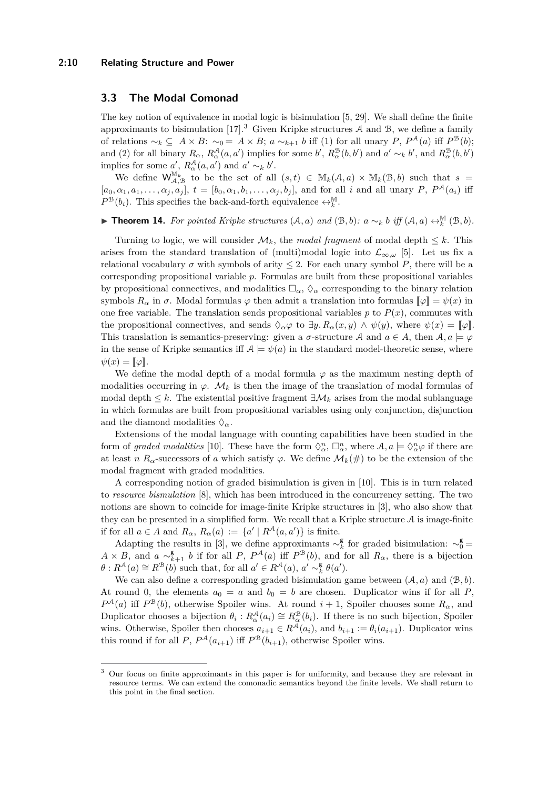#### **2:10 Relating Structure and Power**

# **3.3 The Modal Comonad**

The key notion of equivalence in modal logic is bisimulation [\[5,](#page-15-7) [29\]](#page-16-2). We shall define the finite approximants to bisimulation [\[17\]](#page-15-13).<sup>[3](#page-9-0)</sup> Given Kripke structures A and B, we define a family of relations  $\sim_k$  ⊆  $A \times B$ :  $\sim_0 = A \times B$ ;  $a \sim_{k+1} b$  iff (1) for all unary  $P$ ,  $P^{\mathcal{A}}(a)$  iff  $P^{\mathcal{B}}(b)$ ; and (2) for all binary  $R_{\alpha}$ ,  $R_{\alpha}^{\mathcal{A}}(a, a')$  implies for some *b*',  $R_{\alpha}^{\mathcal{B}}(b, b')$  and  $a' \sim_k b'$ , and  $R_{\alpha}^{\mathcal{B}}(b, b')$ implies for some  $a'$ ,  $R^{\mathcal{A}}_{\alpha}(a, a')$  and  $a' \sim_k b'$ .

We define  $\mathsf{W}_{\mathcal{A},\mathcal{B}}^{\mathbb{M}_k}$  to be the set of all  $(s,t) \in \mathbb{M}_k(\mathcal{A},a) \times \mathbb{M}_k(\mathcal{B},b)$  such that  $s =$  $[a_0, \alpha_1, a_1, \ldots, \alpha_j, a_j], t = [b_0, \alpha_1, b_1, \ldots, \alpha_j, b_j],$  and for all i and all unary P,  $P^{\mathcal{A}}(a_i)$  iff  $P^{\mathcal{B}}(b_i)$ . This specifies the back-and-forth equivalence  $\leftrightarrow_k^{\mathbb{M}}$ .

# <span id="page-9-1"></span>▶ **Theorem 14.** For pointed Kripke structures  $(A, a)$  and  $(B, b)$ :  $a \sim_k b$  iff  $(A, a) \leftrightarrow_k^{\mathbb{M}} (B, b)$ .

Turning to logic, we will consider  $\mathcal{M}_k$ , the *modal fragment* of modal depth  $\leq k$ . This arises from the standard translation of (multi)modal logic into  $\mathcal{L}_{\infty,\omega}$  [\[5\]](#page-15-7). Let us fix a relational vocabulary  $\sigma$  with symbols of arity  $\leq 2$ . For each unary symbol P, there will be a corresponding propositional variable *p*. Formulas are built from these propositional variables by propositional connectives, and modalities  $\Box_{\alpha}$ ,  $\Diamond_{\alpha}$  corresponding to the binary relation symbols  $R_\alpha$  in  $\sigma$ . Modal formulas  $\varphi$  then admit a translation into formulas  $[\varphi] = \psi(x)$  in one free variable. The translation sends propositional variables  $p$  to  $P(x)$ , commutes with the propositional connectives, and sends  $\Diamond_{\alpha} \varphi$  to  $\exists y. R_{\alpha}(x, y) \land \psi(y)$ , where  $\psi(x) = \llbracket \varphi \rrbracket$ . This translation is semantics-preserving: given a  $\sigma$ -structure A and  $a \in A$ , then  $A, a \models \varphi$ in the sense of Kripke semantics iff  $A \models \psi(a)$  in the standard model-theoretic sense, where  $\psi(x) = \llbracket \varphi \rrbracket.$ 

We define the modal depth of a modal formula  $\varphi$  as the maximum nesting depth of modalities occurring in  $\varphi$ .  $\mathcal{M}_k$  is then the image of the translation of modal formulas of modal depth  $\leq k$ . The existential positive fragment  $\exists \mathcal{M}_k$  arises from the modal sublanguage in which formulas are built from propositional variables using only conjunction, disjunction and the diamond modalities  $\Diamond_{\alpha}$ .

Extensions of the modal language with counting capabilities have been studied in the form of *graded modalities* [\[10\]](#page-15-14). These have the form  $\Diamond_{\alpha}^{n}$ ,  $\Box_{\alpha}^{n}$ , where  $A, a \models \Diamond_{\alpha}^{n} \varphi$  if there are at least *n*  $R_\alpha$ -successors of *a* which satisfy  $\varphi$ . We define  $\mathcal{M}_k(\#)$  to be the extension of the modal fragment with graded modalities.

A corresponding notion of graded bisimulation is given in [\[10\]](#page-15-14). This is in turn related to *resource bismulation* [\[8\]](#page-15-15), which has been introduced in the concurrency setting. The two notions are shown to coincide for image-finite Kripke structures in [\[3\]](#page-14-2), who also show that they can be presented in a simplified form. We recall that a Kripke structure  $A$  is image-finite if for all  $a \in A$  and  $R_\alpha$ ,  $R_\alpha(a) := \{a' \mid R^{\mathcal{A}}(a, a')\}$  is finite.

Adapting the results in [\[3\]](#page-14-2), we define approximants  $\sim_k^{\mathsf{g}}$  for graded bisimulation:  $\sim_0^{\mathsf{g}}$  =  $A \times B$ , and  $a \sim_{k+1}^g b$  if for all *P*,  $P^{\mathcal{A}}(a)$  iff  $P^{\mathcal{B}}(b)$ , and for all  $R_\alpha$ , there is a bijection  $\theta: R^{\mathcal{A}}(a) \cong R^{\mathcal{B}}(b)$  such that, for all  $a' \in R^{\mathcal{A}}(a)$ ,  $a' \sim_{k}^{\mathcal{B}} \theta(a')$ .

We can also define a corresponding graded bisimulation game between  $(A, a)$  and  $(B, b)$ . At round 0, the elements  $a_0 = a$  and  $b_0 = b$  are chosen. Duplicator wins if for all P,  $P^{\mathcal{A}}(a)$  iff  $P^{\mathcal{B}}(b)$ , otherwise Spoiler wins. At round  $i+1$ , Spoiler chooses some  $R_{\alpha}$ , and Duplicator chooses a bijection  $\theta_i$ :  $R^{\mathcal{A}}_{\alpha}(a_i) \cong R^{\mathcal{B}}_{\alpha}(b_i)$ . If there is no such bijection, Spoiler wins. Otherwise, Spoiler then chooses  $a_{i+1} \in R^{\mathcal{A}}(a_i)$ , and  $b_{i+1} := \theta_i(a_{i+1})$ . Duplicator wins this round if for all *P*,  $P^{\mathcal{A}}(a_{i+1})$  iff  $P^{\mathcal{B}}(b_{i+1})$ , otherwise Spoiler wins.

<span id="page-9-0"></span><sup>&</sup>lt;sup>3</sup> Our focus on finite approximants in this paper is for uniformity, and because they are relevant in resource terms. We can extend the comonadic semantics beyond the finite levels. We shall return to this point in the final section.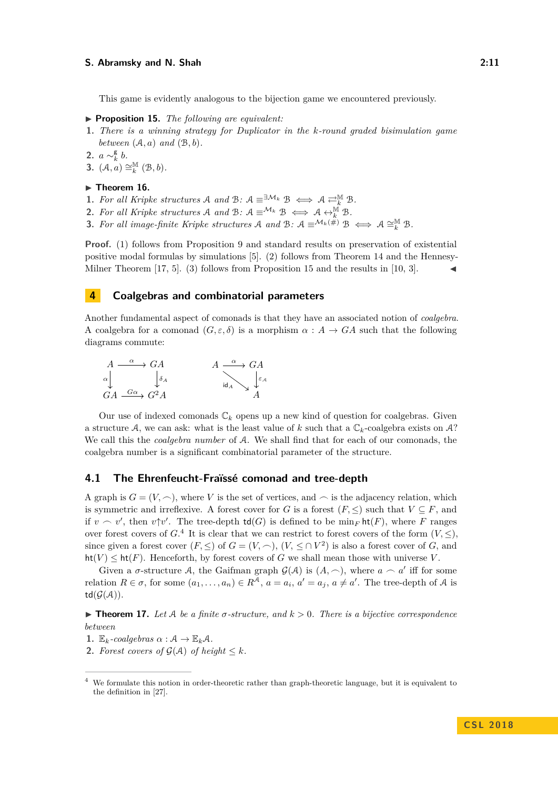This game is evidently analogous to the bijection game we encountered previously.

- <span id="page-10-0"></span>▶ **Proposition 15.** *The following are equivalent:*
- **1.** *There is a winning strategy for Duplicator in the k-round graded bisimulation game between*  $(A, a)$  *and*  $(B, b)$ *.*
- **2.**  $a \sim_k^{\mathsf{g}} b$ .
- **3.**  $(A, a) \cong_k^{\mathbb{M}} (B, b)$ *.*

#### $\blacktriangleright$  Theorem 16.

- **1.** For all Kripke structures A and B:  $A \equiv M_k \oplus A \rightleftharpoons M \oplus M_k$ .
- **2.** For all Kripke structures A and B:  $A \equiv^{\mathcal{M}_k} B \iff A \leftrightarrow^{\mathbb{M}}_k B$ .
- **3.** *For all image-finite Kripke structures* A *and*  $B: A \equiv M_k(\hat{\theta}) B \iff A \cong_k^{\mathbb{M}} B$ *.*

**Proof.** (1) follows from Proposition [9](#page-5-0) and standard results on preservation of existential positive modal formulas by simulations [\[5\]](#page-15-7). (2) follows from Theorem [14](#page-9-1) and the Hennesy-Milner Theorem  $[17, 5]$  $[17, 5]$ . (3) follows from Proposition [15](#page-10-0) and the results in  $[10, 3]$  $[10, 3]$ .

#### **4 Coalgebras and combinatorial parameters**

Another fundamental aspect of comonads is that they have an associated notion of *coalgebra*. A coalgebra for a comonad  $(G, \varepsilon, \delta)$  is a morphism  $\alpha : A \to GA$  such that the following diagrams commute:

$$
\begin{array}{ccc}\nA & \xrightarrow{\alpha} & GA & A & \xrightarrow{\alpha} & GA \\
\alpha & \downarrow{\delta_A} & & \downarrow{\epsilon_A} \\
GA & \xrightarrow{G\alpha} & G^2A & & A\n\end{array}
$$

Our use of indexed comonads  $\mathbb{C}_k$  opens up a new kind of question for coalgebras. Given a structure A, we can ask: what is the least value of k such that a  $\mathbb{C}_k$ -coalgebra exists on A? We call this the *coalgebra number* of A. We shall find that for each of our comonads, the coalgebra number is a significant combinatorial parameter of the structure.

#### **4.1 The Ehrenfeucht-Fraïssé comonad and tree-depth**

A graph is  $G = (V, \frown)$ , where V is the set of vertices, and  $\frown$  is the adjacency relation, which is symmetric and irreflexive. A forest cover for *G* is a forest  $(F, \leq)$  such that  $V \subseteq F$ , and if  $v \sim v'$ , then  $v \uparrow v'$ . The tree-depth  $\mathsf{td}(G)$  is defined to be  $\min_F \mathsf{ht}(F)$ , where F ranges over forest covers of  $G$ <sup>[4](#page-10-1)</sup>. It is clear that we can restrict to forest covers of the form  $(V, \leq),$ since given a forest cover  $(F, \leq)$  of  $G = (V, \sim)$ ,  $(V, \leq \cap V^2)$  is also a forest cover of *G*, and  $\text{ht}(V) \leq \text{ht}(F)$ . Henceforth, by forest covers of *G* we shall mean those with universe *V*.

Given a  $\sigma$ -structure A, the Gaifman graph  $\mathcal{G}(\mathcal{A})$  is  $(A, \frown)$ , where  $a \frown a'$  iff for some relation  $R \in \sigma$ , for some  $(a_1, \ldots, a_n) \in R^{\mathcal{A}}$ ,  $a = a_i$ ,  $a' = a_j$ ,  $a \neq a'$ . The tree-depth of  $\mathcal A$  is  $td(\mathcal{G}(\mathcal{A}))$ .

**Find 17.** Let A be a finite  $\sigma$ -structure, and  $k > 0$ . There is a bijective correspondence *between*

- **1.**  $\mathbb{E}_k$ -coalgebras  $\alpha : \mathcal{A} \to \mathbb{E}_k \mathcal{A}$ .
- **2.** *Forest covers of*  $\mathcal{G}(\mathcal{A})$  *of height*  $\leq k$ *.*

<span id="page-10-1"></span><sup>4</sup> We formulate this notion in order-theoretic rather than graph-theoretic language, but it is equivalent to the definition in [\[27\]](#page-15-4).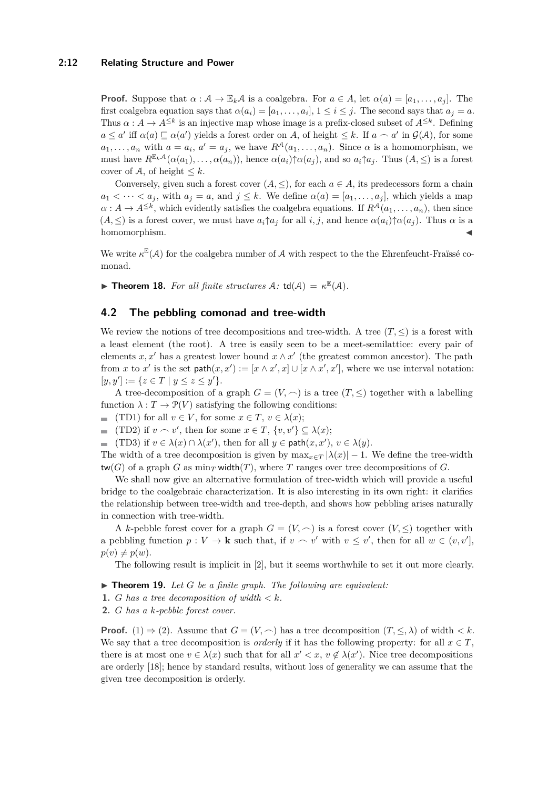#### **2:12 Relating Structure and Power**

**Proof.** Suppose that  $\alpha : \mathcal{A} \to \mathbb{E}_k \mathcal{A}$  is a coalgebra. For  $a \in \mathcal{A}$ , let  $\alpha(a) = [a_1, \ldots, a_i]$ . The first coalgebra equation says that  $\alpha(a_i) = [a_1, \ldots, a_i], 1 \leq i \leq j$ . The second says that  $a_j = a$ . Thus  $\alpha: A \to A^{\leq k}$  is an injective map whose image is a prefix-closed subset of  $A^{\leq k}$ . Defining  $a \leq a'$  iff  $\alpha(a) \sqsubseteq \alpha(a')$  yields a forest order on *A*, of height  $\leq k$ . If  $a \frown a'$  in  $\mathcal{G}(\mathcal{A})$ , for some  $a_1, \ldots, a_n$  with  $a = a_i, a' = a_j$ , we have  $R^{\mathcal{A}}(a_1, \ldots, a_n)$ . Since  $\alpha$  is a homomorphism, we must have  $R^{\mathbb{E}_k\mathcal{A}}(\alpha(a_1),\ldots,\alpha(a_n))$ , hence  $\alpha(a_i)\uparrow\alpha(a_j)$ , and so  $a_i\uparrow a_j$ . Thus  $(A,\leq)$  is a forest cover of A, of height  $\leq k$ .

Conversely, given such a forest cover  $(A, \leq)$ , for each  $a \in A$ , its predecessors form a chain  $a_1 < \cdots < a_j$ , with  $a_j = a$ , and  $j \leq k$ . We define  $\alpha(a) = [a_1, \ldots, a_j]$ , which yields a map  $\alpha: A \to A^{\leq k}$ , which evidently satisfies the coalgebra equations. If  $R^{\mathcal{A}}(a_1, \ldots, a_n)$ , then since  $(A, \leq)$  is a forest cover, we must have  $a_i \uparrow a_j$  for all *i, j*, and hence  $\alpha(a_i) \uparrow \alpha(a_j)$ . Thus  $\alpha$  is a homomorphism.

We write  $\kappa^{\mathbb{E}}(\mathcal{A})$  for the coalgebra number of  $\mathcal{A}$  with respect to the the Ehrenfeucht-Fraïssé comonad.

**Find Theorem 18.** For all finite structures  $A$ :  $td(A) = \kappa^{\mathbb{E}}(A)$ .

# **4.2 The pebbling comonad and tree-width**

We review the notions of tree decompositions and tree-width. A tree  $(T, \leq)$  is a forest with a least element (the root). A tree is easily seen to be a meet-semilattice: every pair of elements *x*, *x*<sup> $\prime$ </sup> has a greatest lower bound *x*  $\land$  *x*<sup> $\prime$ </sup> (the greatest common ancestor). The path from *x* to *x'* is the set  $path(x, x') := [x \wedge x', x] \cup [x \wedge x', x']$ , where we use interval notation:  $[y, y'] := \{ z \in T \mid y \leq z \leq y' \}.$ 

A tree-decomposition of a graph  $G = (V, \sim)$  is a tree  $(T, \leq)$  together with a labelling function  $\lambda: T \to \mathcal{P}(V)$  satisfying the following conditions:

- (TD1) for all  $v \in V$ , for some  $x \in T$ ,  $v \in \lambda(x)$ ;
- (TD2) if  $v \sim v'$ , then for some  $x \in T$ ,  $\{v, v'\} \subseteq \lambda(x)$ ;
- (TD3) if  $v \in \lambda(x) \cap \lambda(x')$ , then for all  $y \in \text{path}(x, x')$ ,  $v \in \lambda(y)$ .

The width of a tree decomposition is given by  $\max_{x \in \mathcal{T}} |\lambda(x)| - 1$ . We define the tree-width  $tw(G)$  of a graph *G* as  $\min_T$  width(*T*), where *T* ranges over tree decompositions of *G*.

We shall now give an alternative formulation of tree-width which will provide a useful bridge to the coalgebraic characterization. It is also interesting in its own right: it clarifies the relationship between tree-width and tree-depth, and shows how pebbling arises naturally in connection with tree-width.

A *k*-pebble forest cover for a graph  $G = (V, \frown)$  is a forest cover  $(V, \leq)$  together with a pebbling function  $p: V \to \mathbf{k}$  such that, if  $v \sim v'$  with  $v \leq v'$ , then for all  $w \in (v, v']$ ,  $p(v) \neq p(w)$ .

The following result is implicit in [\[2\]](#page-14-0), but it seems worthwhile to set it out more clearly.

- $\triangleright$  **Theorem 19.** Let G be a finite graph. The following are equivalent:
- **1.** *G* has a tree decomposition of width  $\lt k$ .
- **2.** *G has a k-pebble forest cover.*

**Proof.** (1)  $\Rightarrow$  (2). Assume that  $G = (V, \neg)$  has a tree decomposition  $(T, \leq, \lambda)$  of width  $\lt k$ . We say that a tree decomposition is *orderly* if it has the following property: for all  $x \in T$ , there is at most one  $v \in \lambda(x)$  such that for all  $x' < x$ ,  $v \notin \lambda(x')$ . Nice tree decompositions are orderly [\[18\]](#page-15-16); hence by standard results, without loss of generality we can assume that the given tree decomposition is orderly.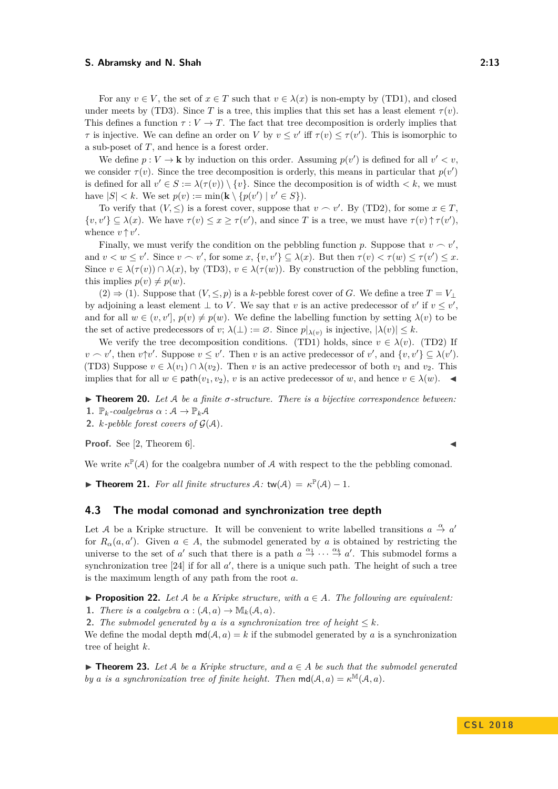For any  $v \in V$ , the set of  $x \in T$  such that  $v \in \lambda(x)$  is non-empty by (TD1), and closed under meets by (TD3). Since *T* is a tree, this implies that this set has a least element  $\tau(v)$ . This defines a function  $\tau : V \to T$ . The fact that tree decomposition is orderly implies that *τ* is injective. We can define an order on *V* by  $v \leq v'$  iff  $\tau(v) \leq \tau(v')$ . This is isomorphic to a sub-poset of *T*, and hence is a forest order.

We define  $p: V \to \mathbf{k}$  by induction on this order. Assuming  $p(v')$  is defined for all  $v' < v$ , we consider  $\tau(v)$ . Since the tree decomposition is orderly, this means in particular that  $p(v')$ is defined for all  $v' \in S := \lambda(\tau(v)) \setminus \{v\}$ . Since the decomposition is of width  $\langle k, w \rangle$  must have  $|S| < k$ . We set  $p(v) := \min(\mathbf{k} \setminus \{p(v') \mid v' \in S\}).$ 

To verify that  $(V, \leq)$  is a forest cover, suppose that  $v \sim v'$ . By (TD2), for some  $x \in T$ ,  $\{v, v'\} \subseteq \lambda(x)$ . We have  $\tau(v) \le x \ge \tau(v')$ , and since *T* is a tree, we must have  $\tau(v) \uparrow \tau(v')$ , whence  $v \uparrow v'$ .

Finally, we must verify the condition on the pebbling function p. Suppose that  $v \sim v'$ , and  $v < w \le v'$ . Since  $v \sim v'$ , for some  $x, \{v, v'\} \subseteq \lambda(x)$ . But then  $\tau(v) < \tau(w) \le \tau(v') \le x$ . Since  $v \in \lambda(\tau(v)) \cap \lambda(x)$ , by (TD3),  $v \in \lambda(\tau(w))$ . By construction of the pebbling function, this implies  $p(v) \neq p(w)$ .

 $(2) \Rightarrow (1)$ . Suppose that  $(V, \leq, p)$  is a *k*-pebble forest cover of *G*. We define a tree  $T = V_1$ by adjoining a least element  $\perp$  to *V*. We say that *v* is an active predecessor of *v'* if  $v \leq v'$ , and for all  $w \in (v, v'], p(v) \neq p(w)$ . We define the labelling function by setting  $\lambda(v)$  to be the set of active predecessors of *v*;  $\lambda(\perp) := \emptyset$ . Since  $p|_{\lambda(v)}$  is injective,  $|\lambda(v)| \leq k$ .

We verify the tree decomposition conditions. (TD1) holds, since  $v \in \lambda(v)$ . (TD2) If  $v \sim v'$ , then  $v \uparrow v'$ . Suppose  $v \leq v'$ . Then *v* is an active predecessor of *v'*, and  $\{v, v'\} \subseteq \lambda(v')$ . (TD3) Suppose  $v \in \lambda(v_1) \cap \lambda(v_2)$ . Then *v* is an active predecessor of both  $v_1$  and  $v_2$ . This implies that for all  $w \in \text{path}(v_1, v_2)$ , *v* is an active predecessor of *w*, and hence  $v \in \lambda(w)$ .

 $\triangleright$  **Theorem 20.** Let A be a finite  $\sigma$ -structure. There is a bijective correspondence between: **1.**  $\mathbb{P}_k$ *-coalgebras*  $\alpha : \mathcal{A} \to \mathbb{P}_k \mathcal{A}$ 

**2.** *k*-pebble forest covers of  $\mathcal{G}(\mathcal{A})$ .

**Proof.** See [\[2,](#page-14-0) Theorem 6].

We write  $\kappa^{\mathbb{P}}(\mathcal{A})$  for the coalgebra number of  $\mathcal A$  with respect to the the pebbling comonad.

**► Theorem 21.** *For all finite structures*  $A$ *:*  $tw(A) = \kappa^{\mathbb{P}}(A) - 1$ *.* 

# **4.3 The modal comonad and synchronization tree depth**

Let A be a Kripke structure. It will be convenient to write labelled transitions  $a \stackrel{\alpha}{\to} a'$ for  $R_{\alpha}(a, a')$ . Given  $a \in A$ , the submodel generated by *a* is obtained by restricting the universe to the set of *a*' such that there is a path  $a \stackrel{\alpha_1}{\to} \cdots \stackrel{\alpha_k}{\to} a'$ . This submodel forms a synchronization tree  $[24]$  if for all  $a'$ , there is a unique such path. The height of such a tree is the maximum length of any path from the root *a*.

**Proposition 22.** Let A be a Kripke structure, with  $a \in A$ . The following are equivalent:

**1.** *There is a coalgebra*  $\alpha : (\mathcal{A}, a) \to \mathbb{M}_k(\mathcal{A}, a)$ .

**2.** *The submodel generated by a is a synchronization tree of height*  $\leq k$ *.* 

We define the modal depth  $md(A, a) = k$  if the submodel generated by a is a synchronization tree of height *k*.

I **Theorem 23.** *Let* A *be a Kripke structure, and a* ∈ *A be such that the submodel generated by a is a synchronization tree of finite height. Then*  $md(A, a) = \kappa^M(A, a)$ .

$$
\lambda
$$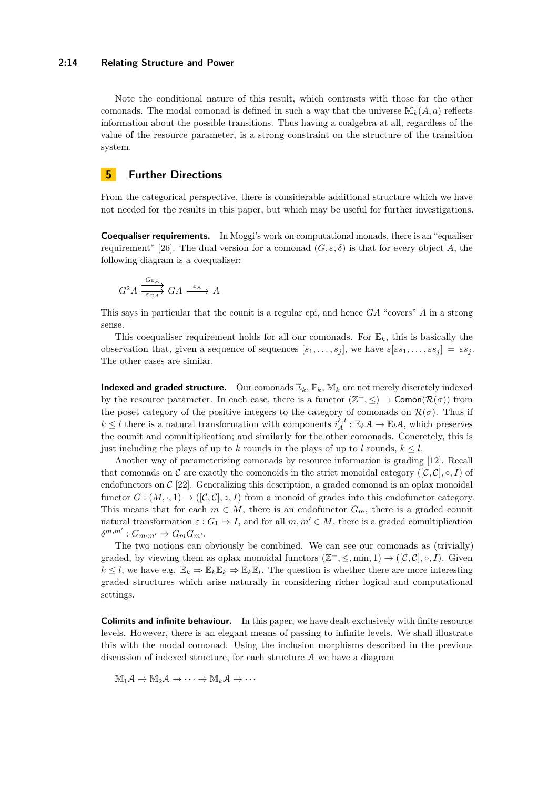#### **2:14 Relating Structure and Power**

Note the conditional nature of this result, which contrasts with those for the other comonads. The modal comonad is defined in such a way that the universe  $\mathbb{M}_k(A, a)$  reflects information about the possible transitions. Thus having a coalgebra at all, regardless of the value of the resource parameter, is a strong constraint on the structure of the transition system.

# **5 Further Directions**

From the categorical perspective, there is considerable additional structure which we have not needed for the results in this paper, but which may be useful for further investigations.

**Coequaliser requirements.** In Moggi's work on computational monads, there is an "equaliser requirement" [\[26\]](#page-15-18). The dual version for a comonad  $(G, \varepsilon, \delta)$  is that for every object *A*, the following diagram is a coequaliser:

$$
G^2 A \xrightarrow[\varepsilon_{GA}]{G\varepsilon_A} G A \xrightarrow[\varepsilon_{GA}]{\varepsilon_A} A
$$

This says in particular that the counit is a regular epi, and hence *GA* "covers" *A* in a strong sense.

This coequaliser requirement holds for all our comonads. For  $\mathbb{E}_k$ , this is basically the observation that, given a sequence of sequences  $[s_1, \ldots, s_j]$ , we have  $\varepsilon[\varepsilon s_1, \ldots, \varepsilon s_j] = \varepsilon s_j$ . The other cases are similar.

**Indexed and graded structure.** Our comonads  $\mathbb{E}_k$ ,  $\mathbb{P}_k$ ,  $\mathbb{M}_k$  are not merely discretely indexed by the resource parameter. In each case, there is a functor  $(\mathbb{Z}^+, \leq) \to \text{Comon}(\mathcal{R}(\sigma))$  from the poset category of the positive integers to the category of comonads on  $\mathcal{R}(\sigma)$ . Thus if  $k \leq l$  there is a natural transformation with components  $i_A^{k,l} : \mathbb{E}_k \mathcal{A} \to \mathbb{E}_l \mathcal{A}$ , which preserves the counit and comultiplication; and similarly for the other comonads. Concretely, this is just including the plays of up to  $k$  rounds in the plays of up to  $l$  rounds,  $k \leq l$ .

Another way of parameterizing comonads by resource information is grading [\[12\]](#page-15-19). Recall that comonads on C are exactly the comonoids in the strict monoidal category  $([\mathcal{C}, \mathcal{C}], \circ, I)$  of endofunctors on  $C$  [\[22\]](#page-15-20). Generalizing this description, a graded comonad is an oplax monoidal functor  $G : (M, \cdot, 1) \to ([\mathcal{C}, \mathcal{C}], \circ, I)$  from a monoid of grades into this endofunctor category. This means that for each  $m \in M$ , there is an endofunctor  $G_m$ , there is a graded counit natural transformation  $\varepsilon$  :  $G_1 \Rightarrow I$ , and for all  $m, m' \in M$ , there is a graded comultiplication  $\delta^{m,m'}$ :  $G_{m\cdot m'} \Rightarrow G_m G_{m'}$ .

The two notions can obviously be combined. We can see our comonads as (trivially) graded, by viewing them as oplax monoidal functors  $(\mathbb{Z}^+, \leq, \min, 1) \to ([\mathcal{C}, \mathcal{C}], \circ, I)$ . Given  $k \leq l$ , we have e.g.  $\mathbb{E}_k \Rightarrow \mathbb{E}_k \mathbb{E}_k \Rightarrow \mathbb{E}_k \mathbb{E}_l$ . The question is whether there are more interesting graded structures which arise naturally in considering richer logical and computational settings.

**Colimits and infinite behaviour.** In this paper, we have dealt exclusively with finite resource levels. However, there is an elegant means of passing to infinite levels. We shall illustrate this with the modal comonad. Using the inclusion morphisms described in the previous discussion of indexed structure, for each structure A we have a diagram

$$
\mathbb{M}_1\mathcal{A}\to\mathbb{M}_2\mathcal{A}\to\cdots\to\mathbb{M}_k\mathcal{A}\to\cdots
$$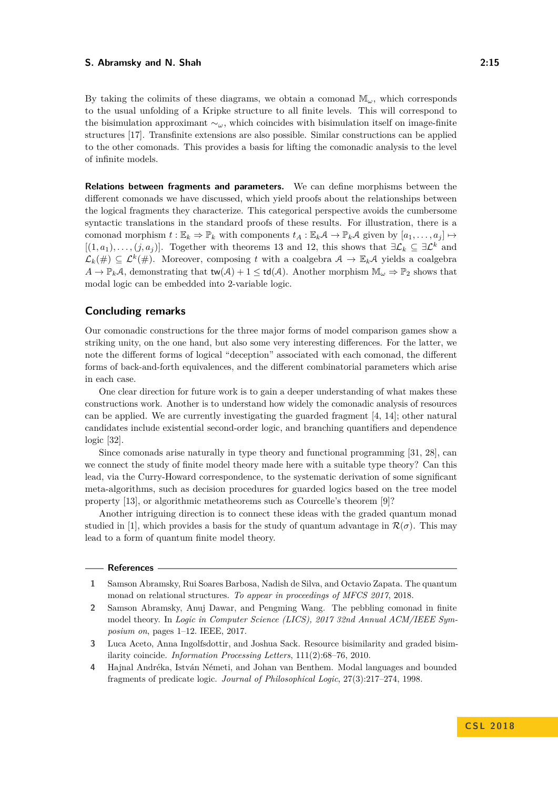By taking the colimits of these diagrams, we obtain a comonad M*ω*, which corresponds to the usual unfolding of a Kripke structure to all finite levels. This will correspond to the bisimulation approximant ∼*ω*, which coincides with bisimulation itself on image-finite structures [\[17\]](#page-15-13). Transfinite extensions are also possible. Similar constructions can be applied to the other comonads. This provides a basis for lifting the comonadic analysis to the level of infinite models.

**Relations between fragments and parameters.** We can define morphisms between the different comonads we have discussed, which yield proofs about the relationships between the logical fragments they characterize. This categorical perspective avoids the cumbersome syntactic translations in the standard proofs of these results. For illustration, there is a comonad morphism  $t : \mathbb{E}_k \Rightarrow \mathbb{P}_k$  with components  $t_A : \mathbb{E}_k \mathcal{A} \to \mathbb{P}_k \mathcal{A}$  given by  $[a_1, \ldots, a_j] \mapsto$  $[(1, a_1), \ldots, (j, a_j)]$ . Together with theorems [13](#page-8-1) and [12,](#page-8-2) this shows that  $\exists \mathcal{L}_k \subseteq \exists \mathcal{L}^k$  and  $\mathcal{L}_k(\#) \subseteq \mathcal{L}^k(\#)$ . Moreover, composing t with a coalgebra  $\mathcal{A} \to \mathbb{E}_k \mathcal{A}$  yields a coalgebra  $A \to \mathbb{P}_k \mathcal{A}$ , demonstrating that  $\mathsf{tw}(\mathcal{A}) + 1 \leq \mathsf{td}(\mathcal{A})$ . Another morphism  $\mathbb{M}_\omega \Rightarrow \mathbb{P}_2$  shows that modal logic can be embedded into 2-variable logic.

#### **Concluding remarks**

Our comonadic constructions for the three major forms of model comparison games show a striking unity, on the one hand, but also some very interesting differences. For the latter, we note the different forms of logical "deception" associated with each comonad, the different forms of back-and-forth equivalences, and the different combinatorial parameters which arise in each case.

One clear direction for future work is to gain a deeper understanding of what makes these constructions work. Another is to understand how widely the comonadic analysis of resources can be applied. We are currently investigating the guarded fragment [\[4,](#page-14-1) [14\]](#page-15-8); other natural candidates include existential second-order logic, and branching quantifiers and dependence logic [\[32\]](#page-16-3).

Since comonads arise naturally in type theory and functional programming [\[31,](#page-16-4) [28\]](#page-16-5), can we connect the study of finite model theory made here with a suitable type theory? Can this lead, via the Curry-Howard correspondence, to the systematic derivation of some significant meta-algorithms, such as decision procedures for guarded logics based on the tree model property [\[13\]](#page-15-21), or algorithmic metatheorems such as Courcelle's theorem [\[9\]](#page-15-22)?

Another intriguing direction is to connect these ideas with the graded quantum monad studied in [\[1\]](#page-14-3), which provides a basis for the study of quantum advantage in  $\mathcal{R}(\sigma)$ . This may lead to a form of quantum finite model theory.

#### **References**

- <span id="page-14-3"></span>**1** Samson Abramsky, Rui Soares Barbosa, Nadish de Silva, and Octavio Zapata. The quantum monad on relational structures. *To appear in proceedings of MFCS 2017*, 2018.
- <span id="page-14-0"></span>**2** Samson Abramsky, Anuj Dawar, and Pengming Wang. The pebbling comonad in finite model theory. In *Logic in Computer Science (LICS), 2017 32nd Annual ACM/IEEE Symposium on*, pages 1–12. IEEE, 2017.
- <span id="page-14-2"></span>**3** Luca Aceto, Anna Ingolfsdottir, and Joshua Sack. Resource bisimilarity and graded bisimilarity coincide. *Information Processing Letters*, 111(2):68–76, 2010.
- <span id="page-14-1"></span>**4** Hajnal Andréka, István Németi, and Johan van Benthem. Modal languages and bounded fragments of predicate logic. *Journal of Philosophical Logic*, 27(3):217–274, 1998.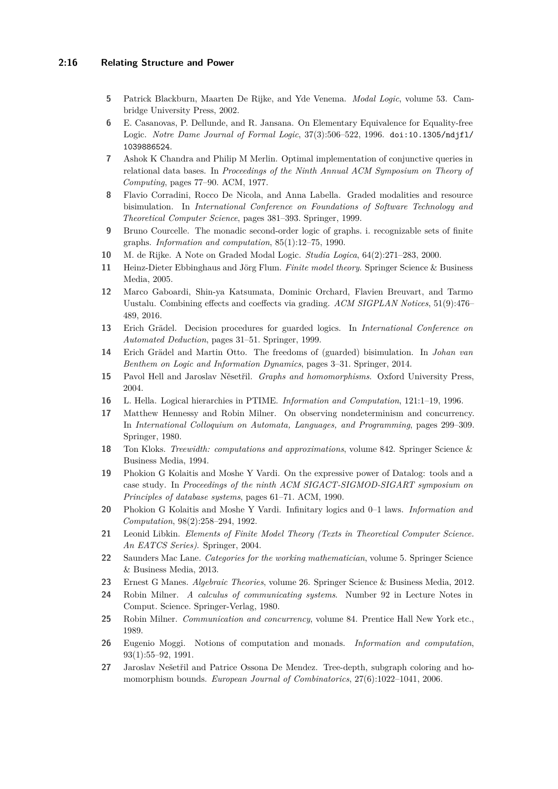#### **2:16 Relating Structure and Power**

- <span id="page-15-7"></span>**5** Patrick Blackburn, Maarten De Rijke, and Yde Venema. *Modal Logic*, volume 53. Cambridge University Press, 2002.
- <span id="page-15-12"></span>**6** E. Casanovas, P. Dellunde, and R. Jansana. On Elementary Equivalence for Equality-free Logic. *Notre Dame Journal of Formal Logic*, 37(3):506–522, 1996. [doi:10.1305/ndjfl/](http://dx.doi.org/10.1305/ndjfl/1039886524) [1039886524](http://dx.doi.org/10.1305/ndjfl/1039886524).
- <span id="page-15-0"></span>**7** Ashok K Chandra and Philip M Merlin. Optimal implementation of conjunctive queries in relational data bases. In *Proceedings of the Ninth Annual ACM Symposium on Theory of Computing*, pages 77–90. ACM, 1977.
- <span id="page-15-15"></span>**8** Flavio Corradini, Rocco De Nicola, and Anna Labella. Graded modalities and resource bisimulation. In *International Conference on Foundations of Software Technology and Theoretical Computer Science*, pages 381–393. Springer, 1999.
- <span id="page-15-22"></span>**9** Bruno Courcelle. The monadic second-order logic of graphs. i. recognizable sets of finite graphs. *Information and computation*, 85(1):12–75, 1990.
- <span id="page-15-14"></span>**10** M. de Rijke. A Note on Graded Modal Logic. *Studia Logica*, 64(2):271–283, 2000.
- <span id="page-15-11"></span>**11** Heinz-Dieter Ebbinghaus and Jörg Flum. *Finite model theory*. Springer Science & Business Media, 2005.
- <span id="page-15-19"></span>**12** Marco Gaboardi, Shin-ya Katsumata, Dominic Orchard, Flavien Breuvart, and Tarmo Uustalu. Combining effects and coeffects via grading. *ACM SIGPLAN Notices*, 51(9):476– 489, 2016.
- <span id="page-15-21"></span>**13** Erich Grädel. Decision procedures for guarded logics. In *International Conference on Automated Deduction*, pages 31–51. Springer, 1999.
- <span id="page-15-8"></span>**14** Erich Grädel and Martin Otto. The freedoms of (guarded) bisimulation. In *Johan van Benthem on Logic and Information Dynamics*, pages 3–31. Springer, 2014.
- <span id="page-15-1"></span>**15** Pavol Hell and Jaroslav Něsetřil. *Graphs and homomorphisms*. Oxford University Press, 2004.
- <span id="page-15-9"></span>**16** L. Hella. Logical hierarchies in PTIME. *Information and Computation*, 121:1–19, 1996.
- <span id="page-15-13"></span>**17** Matthew Hennessy and Robin Milner. On observing nondeterminism and concurrency. In *International Colloquium on Automata, Languages, and Programming*, pages 299–309. Springer, 1980.
- <span id="page-15-16"></span>**18** Ton Kloks. *Treewidth: computations and approximations*, volume 842. Springer Science & Business Media, 1994.
- <span id="page-15-10"></span>**19** Phokion G Kolaitis and Moshe Y Vardi. On the expressive power of Datalog: tools and a case study. In *Proceedings of the ninth ACM SIGACT-SIGMOD-SIGART symposium on Principles of database systems*, pages 61–71. ACM, 1990.
- <span id="page-15-2"></span>**20** Phokion G Kolaitis and Moshe Y Vardi. Infinitary logics and 0–1 laws. *Information and Computation*, 98(2):258–294, 1992.
- <span id="page-15-3"></span>**21** Leonid Libkin. *Elements of Finite Model Theory (Texts in Theoretical Computer Science. An EATCS Series)*. Springer, 2004.
- <span id="page-15-20"></span>**22** Saunders Mac Lane. *Categories for the working mathematician*, volume 5. Springer Science & Business Media, 2013.
- <span id="page-15-5"></span>**23** Ernest G Manes. *Algebraic Theories*, volume 26. Springer Science & Business Media, 2012.
- <span id="page-15-17"></span>**24** Robin Milner. *A calculus of communicating systems*. Number 92 in Lecture Notes in Comput. Science. Springer-Verlag, 1980.
- <span id="page-15-6"></span>**25** Robin Milner. *Communication and concurrency*, volume 84. Prentice Hall New York etc., 1989.
- <span id="page-15-18"></span>**26** Eugenio Moggi. Notions of computation and monads. *Information and computation*, 93(1):55–92, 1991.
- <span id="page-15-4"></span>**27** Jaroslav Nešetřil and Patrice Ossona De Mendez. Tree-depth, subgraph coloring and homomorphism bounds. *European Journal of Combinatorics*, 27(6):1022–1041, 2006.